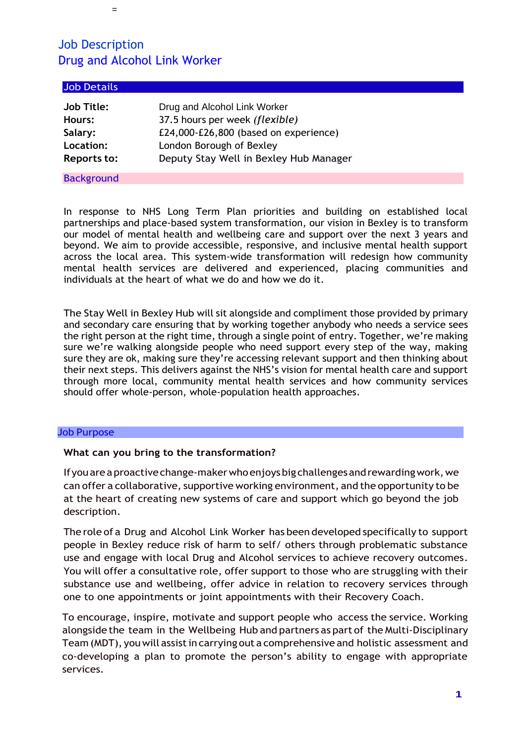=

| <b>Job Details</b> |                                        |
|--------------------|----------------------------------------|
| <b>Job Title:</b>  | Drug and Alcohol Link Worker           |
| Hours:             | 37.5 hours per week (flexible)         |
| Salary:            | £24,000-£26,800 (based on experience)  |
| Location:          | London Borough of Bexley               |
| <b>Reports to:</b> | Deputy Stay Well in Bexley Hub Manager |
| <b>Background</b>  |                                        |

In response to NHS Long Term Plan priorities and building on established local partnerships and place-based system transformation, our vision in Bexley is to transform our model of mental health and wellbeing care and support over the next 3 years and beyond. We aim to provide accessible, responsive, and inclusive mental health support across the local area. This system-wide transformation will redesign how community mental health services are delivered and experienced, placing communities and individuals at the heart of what we do and how we do it.

The Stay Well in Bexley Hub will sit alongside and compliment those provided by primary and secondary care ensuring that by working together anybody who needs a service sees the right person at the right time, through a single point of entry. Together, we're making sure we're walking alongside people who need support every step of the way, making sure they are ok, making sure they're accessing relevant support and then thinking about their next steps. This delivers against the NHS's vision for mental health care and support through more local, community mental health services and how community services should offer whole-person, whole-population health approaches.

#### Job Purpose

### **What can you bring to the transformation?**

Ifyouareaproactivechange-makerwhoenjoysbig challengesandrewardingwork,we can offer a collaborative, supportive working environment, and the opportunity to be at the heart of creating new systems of care and support which go beyond the job description.

The role of a Drug and Alcohol Link Worke**r** has been developed specifically to support people in Bexley reduce risk of harm to self/ others through problematic substance use and engage with local Drug and Alcohol services to achieve recovery outcomes. You will offer a consultative role, offer support to those who are struggling with their substance use and wellbeing, offer advice in relation to recovery services through one to one appointments or joint appointments with their Recovery Coach.

To encourage, inspire, motivate and support people who access the service. Working alongside the team in the Wellbeing Hub and partners as part of the Multi-Disciplinary Team (MDT), youwill assistin carrying out a comprehensive and holistic assessment and co-developing a plan to promote the person's ability to engage with appropriate services.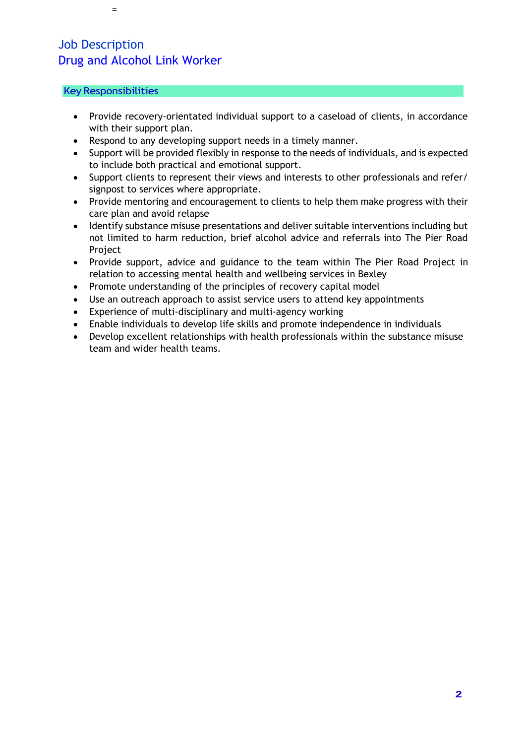### Key Responsibilities

=

- Provide recovery-orientated individual support to a caseload of clients, in accordance with their support plan.
- Respond to any developing support needs in a timely manner.
- Support will be provided flexibly in response to the needs of individuals, and is expected to include both practical and emotional support.
- Support clients to represent their views and interests to other professionals and refer/ signpost to services where appropriate.
- Provide mentoring and encouragement to clients to help them make progress with their care plan and avoid relapse
- Identify substance misuse presentations and deliver suitable interventions including but not limited to harm reduction, brief alcohol advice and referrals into The Pier Road **Project**
- Provide support, advice and guidance to the team within The Pier Road Project in relation to accessing mental health and wellbeing services in Bexley
- Promote understanding of the principles of recovery capital model
- Use an outreach approach to assist service users to attend key appointments
- Experience of multi-disciplinary and multi-agency working
- Enable individuals to develop life skills and promote independence in individuals
- Develop excellent relationships with health professionals within the substance misuse team and wider health teams.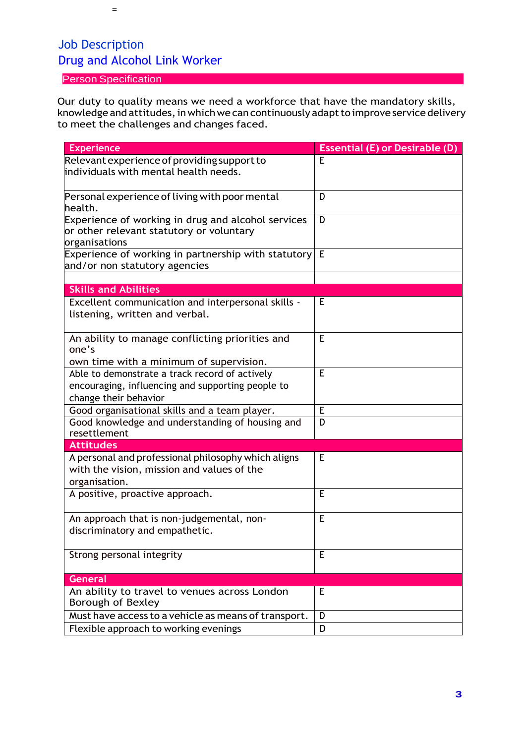### Person Specification

=

Our duty to quality means we need a workforce that have the mandatory skills, knowledge and attitudes, in which we can continuously adapt to improve service delivery to meet the challenges and changes faced.

| <b>Experience</b>                                         | <b>Essential (E) or Desirable (D)</b> |
|-----------------------------------------------------------|---------------------------------------|
| Relevant experience of providing support to               | Е                                     |
| individuals with mental health needs.                     |                                       |
|                                                           |                                       |
| Personal experience of living with poor mental            | D                                     |
| health.                                                   |                                       |
| Experience of working in drug and alcohol services        | D                                     |
| or other relevant statutory or voluntary<br>organisations |                                       |
| Experience of working in partnership with statutory       | Е                                     |
| and/or non statutory agencies                             |                                       |
|                                                           |                                       |
| <b>Skills and Abilities</b>                               |                                       |
| Excellent communication and interpersonal skills -        | E                                     |
| listening, written and verbal.                            |                                       |
|                                                           |                                       |
| An ability to manage conflicting priorities and           | E                                     |
| one's                                                     |                                       |
| own time with a minimum of supervision.                   |                                       |
| Able to demonstrate a track record of actively            | E                                     |
| encouraging, influencing and supporting people to         |                                       |
| change their behavior                                     |                                       |
| Good organisational skills and a team player.             | E                                     |
| Good knowledge and understanding of housing and           | D                                     |
| resettlement                                              |                                       |
| <b>Attitudes</b>                                          |                                       |
| A personal and professional philosophy which aligns       | E                                     |
| with the vision, mission and values of the                |                                       |
| organisation.<br>A positive, proactive approach.          | E                                     |
|                                                           |                                       |
| An approach that is non-judgemental, non-                 | E                                     |
| discriminatory and empathetic.                            |                                       |
|                                                           |                                       |
| Strong personal integrity                                 | E                                     |
|                                                           |                                       |
| <b>General</b>                                            |                                       |
| An ability to travel to venues across London              | E                                     |
| Borough of Bexley                                         |                                       |
| Must have access to a vehicle as means of transport.      | D                                     |
| Flexible approach to working evenings                     | D                                     |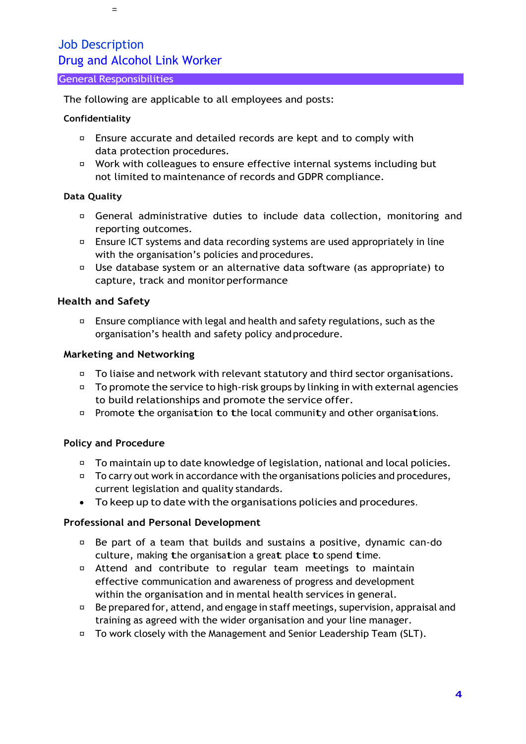### General Responsibilities

=

The following are applicable to all employees and posts:

### **Confidentiality**

- Ensure accurate and detailed records are kept and to comply with data protection procedures.
- □ Work with colleagues to ensure effective internal systems including but not limited to maintenance of records and GDPR compliance.

### **Data Quality**

- General administrative duties to include data collection, monitoring and reporting outcomes.
- $\Box$  Ensure ICT systems and data recording systems are used appropriately in line with the organisation's policies and procedures.
- Use database system or an alternative data software (as appropriate) to capture, track and monitor performance

### **Health and Safety**

Ensure compliance with legal and health and safety regulations, such as the  $\Box$ organisation's health and safety policy andprocedure.

### **Marketing and Networking**

- $\Box$  To liaise and network with relevant statutory and third sector organisations.
- $\Box$  To promote the service to high-risk groups by linking in with external agencies to build relationships and promote the service offer.
- **Promote the organisation to the local community and other organisations.**

### **Policy and Procedure**

- □ To maintain up to date knowledge of legislation, national and local policies.
- $\Box$  To carry out work in accordance with the organisations policies and procedures, current legislation and quality standards.
- To keep up to date with the organisations policies and procedures.

### **Professional and Personal Development**

- Be part of a team that builds and sustains a positive, dynamic can-do  $\Box$ culture, making the organisation <sup>a</sup> great place to spend time.
- Attend and contribute to regular team meetings to maintain effective communication and awareness of progress and development within the organisation and in mental health services in general.
- $\Box$  Be prepared for, attend, and engage in staff meetings, supervision, appraisal and training as agreed with the wider organisation and your line manager.
- $\Box$  To work closely with the Management and Senior Leadership Team (SLT).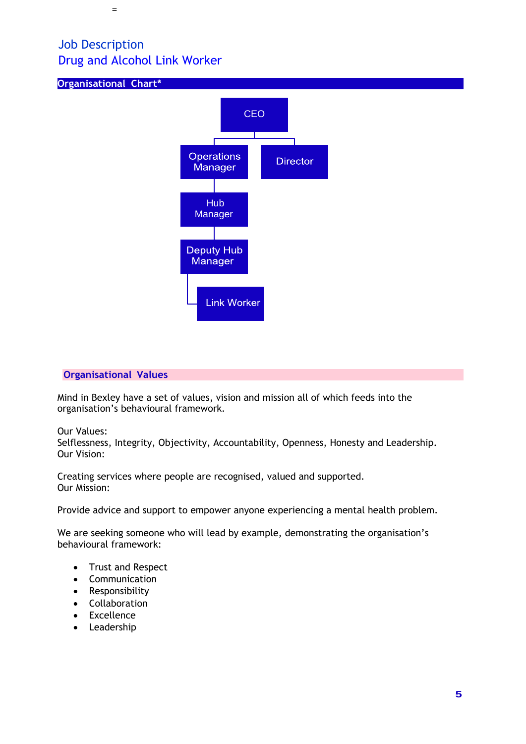**Organisational Chart\***

=



### **Organisational Values**

Mind in Bexley have a set of values, vision and mission all of which feeds into the organisation's behavioural framework.

Our Values:

Selflessness, Integrity, Objectivity, Accountability, Openness, Honesty and Leadership. Our Vision:

Creating services where people are recognised, valued and supported. Our Mission:

Provide advice and support to empower anyone experiencing a mental health problem.

We are seeking someone who will lead by example, demonstrating the organisation's behavioural framework:

- Trust and Respect
- Communication
- Responsibility
- Collaboration
- Excellence
- Leadership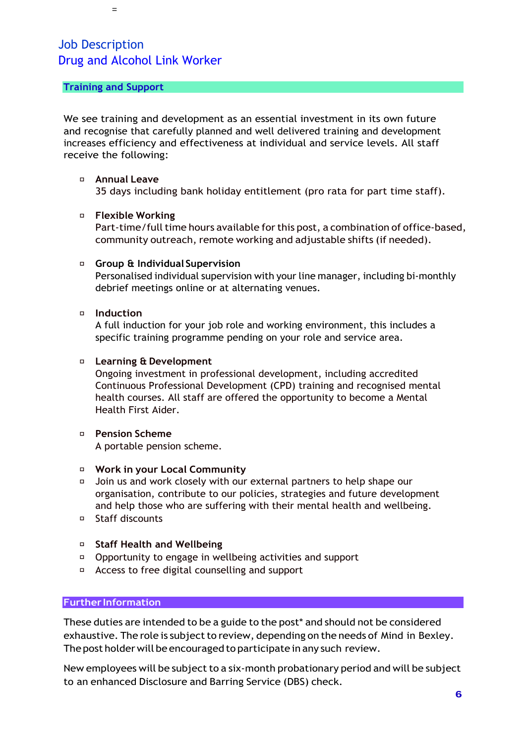### **Training and Support**

=

We see training and development as an essential investment in its own future and recognise that carefully planned and well delivered training and development increases efficiency and effectiveness at individual and service levels. All staff receive the following:

### **Annual Leave**

35 days including bank holiday entitlement (pro rata for part time staff).

### **Flexible Working**

Part-time/full time hours available for this post, a combination of office-based, community outreach, remote working and adjustable shifts (if needed).

### **Group & Individual Supervision**

Personalised individual supervision with your line manager, including bi-monthly debrief meetings online or at alternating venues.

### **Induction**

A full induction for your job role and working environment, this includes a specific training programme pending on your role and service area.

### **Learning & Development**

Ongoing investment in professional development, including accredited Continuous Professional Development (CPD) training and recognised mental health courses. All staff are offered the opportunity to become a Mental Health First Aider.

- **Pension Scheme** A portable pension scheme.
- **Work in your Local Community**
- Join us and work closely with our external partners to help shape our organisation, contribute to our policies, strategies and future development and help those who are suffering with their mental health and wellbeing.
- Staff discounts
- **Staff Health and Wellbeing**
- Opportunity to engage in wellbeing activities and support
- Access to free digital counselling and support

#### **Further Information**

These duties are intended to be a guide to the post\* and should not be considered exhaustive. The role is subject to review, depending on the needs of Mind in Bexley. The post holder will be encouraged to participate in any such review.

New employees will be subject to a six-month probationary period and will be subject to an enhanced Disclosure and Barring Service (DBS) check.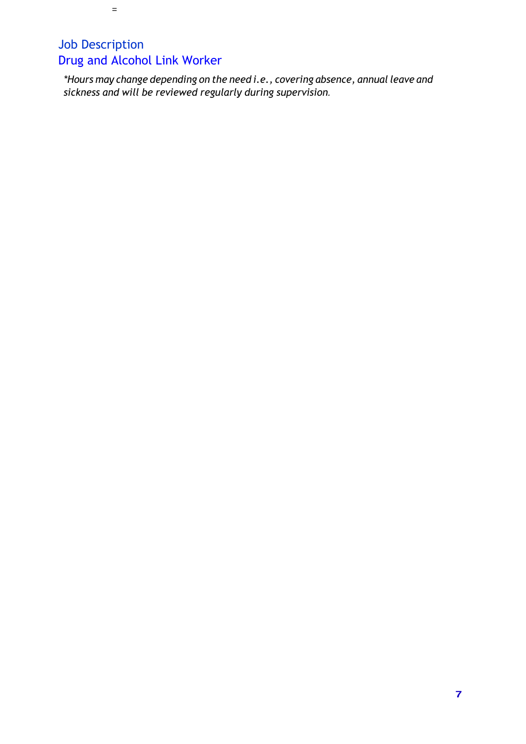=

*\*Hours may change depending on the need i.e., covering absence, annual leave and sickness and will be reviewed regularly during supervision.*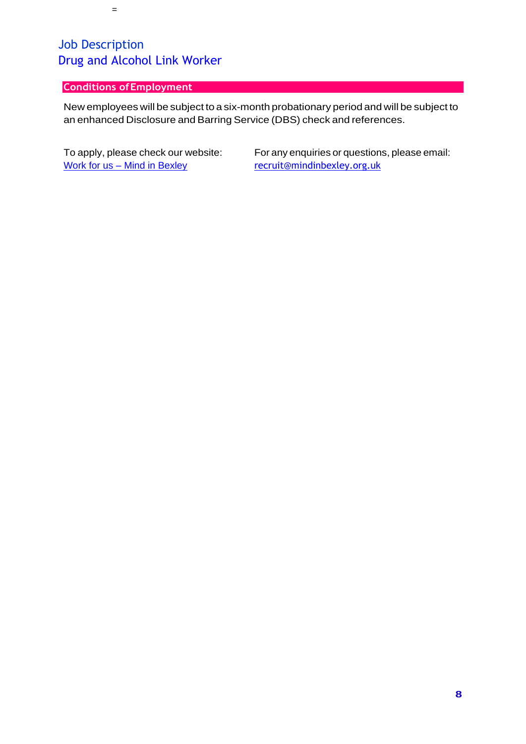### **Conditions ofEmployment**

=

New employees will be subject to a six-month probationary period and will be subject to an enhanced Disclosure and Barring Service (DBS) check and references.

Work for us – [Mind in Bexley](https://mindinbexley.org.uk/vacancies) [recruit@mindinbexley.org.uk](mailto:recruit@mindinbexley.org.uk)

To apply, please check our website: For any enquiries or questions, please email: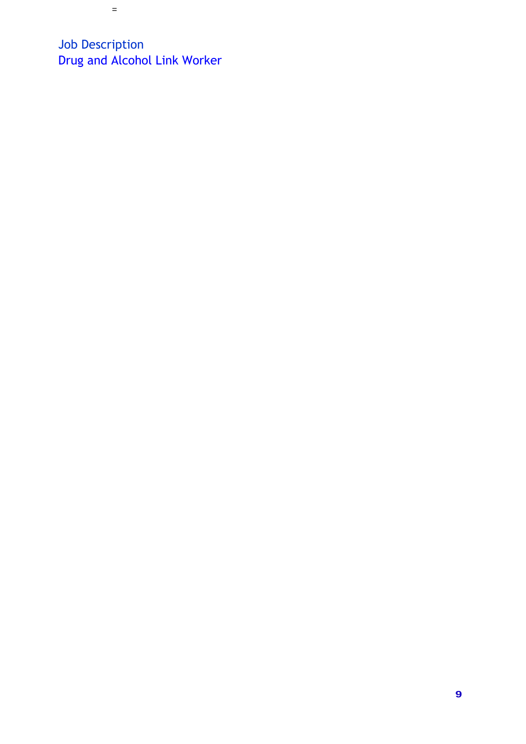=